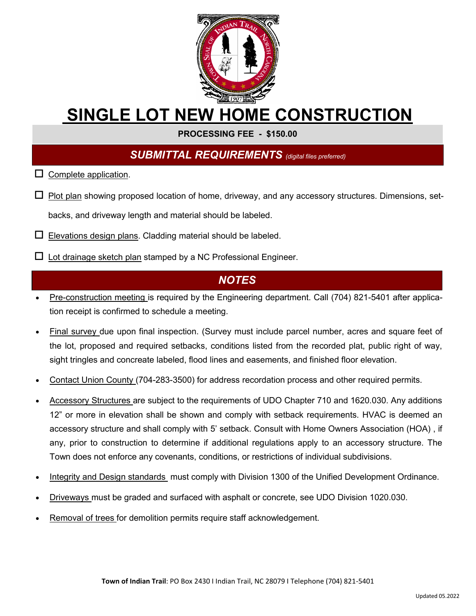

## **SINGLE LOT NEW HOME CONSTRUCTION**

**PROCESSING FEE - \$150.00** 

## *SUBMITTAL REQUIREMENTS (digital files preferred)*

- $\square$  Complete application.
- $\Box$  Plot plan showing proposed location of home, driveway, and any accessory structures. Dimensions, setbacks, and driveway length and material should be labeled.
- $\square$  Elevations design plans. Cladding material should be labeled.
- $\Box$  Lot drainage sketch plan stamped by a NC Professional Engineer.

## *NOTES*

- Pre-construction meeting is required by the Engineering department. Call (704) 821-5401 after application receipt is confirmed to schedule a meeting.
- Final survey due upon final inspection. (Survey must include parcel number, acres and square feet of the lot, proposed and required setbacks, conditions listed from the recorded plat, public right of way, sight tringles and concreate labeled, flood lines and easements, and finished floor elevation.
- Contact Union County (704-283-3500) for address recordation process and other required permits.
- Accessory Structures are subject to the requirements of UDO Chapter 710 and 1620.030. Any additions 12" or more in elevation shall be shown and comply with setback requirements. HVAC is deemed an accessory structure and shall comply with 5' setback. Consult with Home Owners Association (HOA) , if any, prior to construction to determine if additional regulations apply to an accessory structure. The Town does not enforce any covenants, conditions, or restrictions of individual subdivisions.
- Integrity and Design standards must comply with Division 1300 of the Unified Development Ordinance.
- Driveways must be graded and surfaced with asphalt or concrete, see UDO Division 1020.030.
- Removal of trees for demolition permits require staff acknowledgement.